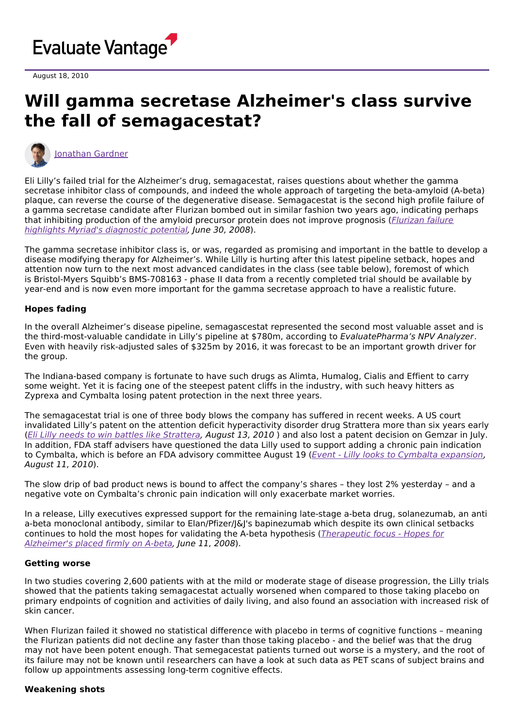

August 18, 2010

# **Will gamma secretase Alzheimer's class survive the fall of semagacestat?**



[Jonathan](https://www.evaluate.com/vantage/editorial-team/jonathan-gardner) Gardner

Eli Lilly's failed trial for the Alzheimer's drug, semagacestat, raises questions about whether the gamma secretase inhibitor class of compounds, and indeed the whole approach of targeting the beta-amyloid (A-beta) plaque, can reverse the course of the degenerative disease. Semagacestat is the second high profile failure of a gamma secretase candidate after Flurizan bombed out in similar fashion two years ago, indicating perhaps that inhibiting [production](http://www.epvantage.com/Universal/View.aspx?type=Story&id=159179&isEPVantage=yes) of the amyloid precursor protein does not improve prognosis (*Flurizan failure*) highlights Myriad's diagnostic potential, June 30, 2008).

The gamma secretase inhibitor class is, or was, regarded as promising and important in the battle to develop a disease modifying therapy for Alzheimer's. While Lilly is hurting after this latest pipeline setback, hopes and attention now turn to the next most advanced candidates in the class (see table below), foremost of which is Bristol-Myers Squibb's BMS-708163 - phase II data from a recently completed trial should be available by year-end and is now even more important for the gamma secretase approach to have a realistic future.

# **Hopes fading**

In the overall Alzheimer's disease pipeline, semagascestat represented the second most valuable asset and is the third-most-valuable candidate in Lilly's pipeline at \$780m, according to EvaluatePharma's NPV Analyzer. Even with heavily risk-adjusted sales of \$325m by 2016, it was forecast to be an important growth driver for the group.

The Indiana-based company is fortunate to have such drugs as Alimta, Humalog, Cialis and Effient to carry some weight. Yet it is facing one of the steepest patent cliffs in the industry, with such heavy hitters as Zyprexa and Cymbalta losing patent protection in the next three years.

The semagacestat trial is one of three body blows the company has suffered in recent weeks. A US court invalidated Lilly's patent on the attention deficit hyperactivity disorder drug Strattera more than six years early (Eli Lilly needs to win battles like [Strattera](http://www.epvantage.com/Universal/View.aspx?type=Story&id=221393&isEPVantage=yes), August 13, 2010 ) and also lost a patent decision on Gemzar in July. In addition, FDA staff advisers have questioned the data Lilly used to support adding a chronic pain indication to Cymbalta, which is before an FDA advisory committee August 19 (*Event - Lilly looks to Cymbalta [expansion](http://www.epvantage.com/Universal/View.aspx?type=Story&id=221201&isEPVantage=yes)*, August 11, 2010).

The slow drip of bad product news is bound to affect the company's shares – they lost 2% yesterday – and a negative vote on Cymbalta's chronic pain indication will only exacerbate market worries.

In a release, Lilly executives expressed support for the remaining late-stage a-beta drug, solanezumab, an anti a-beta monoclonal antibody, similar to Elan/Pfizer/J&J's bapinezumab which despite its own clinical setbacks continues to hold the most hopes for validating the A-beta hypothesis (*[Therapeutic](http://www.epvantage.com/Universal/View.aspx?type=Story&id=158067&isEPVantage=yes) focus - Hopes for* Alzheimer's placed firmly on A-beta, June 11, 2008).

### **Getting worse**

In two studies covering 2,600 patients with at the mild or moderate stage of disease progression, the Lilly trials showed that the patients taking semagacestat actually worsened when compared to those taking placebo on primary endpoints of cognition and activities of daily living, and also found an association with increased risk of skin cancer.

When Flurizan failed it showed no statistical difference with placebo in terms of cognitive functions – meaning the Flurizan patients did not decline any faster than those taking placebo - and the belief was that the drug may not have been potent enough. That semegacestat patients turned out worse is a mystery, and the root of its failure may not be known until researchers can have a look at such data as PET scans of subject brains and follow up appointments assessing long-term cognitive effects.

#### **Weakening shots**